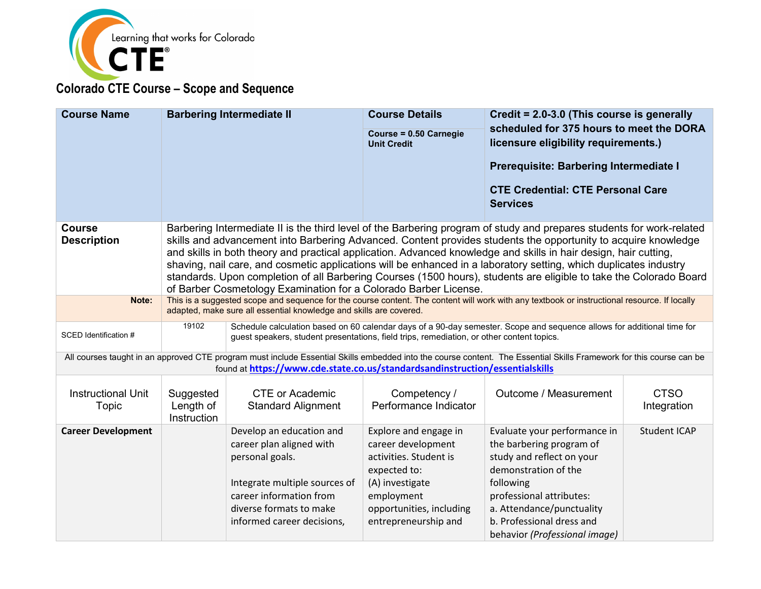

| <b>Course Name</b>                  | <b>Barbering Intermediate II</b>                                                                                                                                                                                                                                                                                                                                                                                                                                                                                                                                                                                                                                           |                                                                                                                                                                                              | <b>Course Details</b><br>Course = 0.50 Carnegie<br><b>Unit Credit</b>                                                                                                      | Credit = 2.0-3.0 (This course is generally<br>scheduled for 375 hours to meet the DORA<br>licensure eligibility requirements.)<br>Prerequisite: Barbering Intermediate I<br><b>CTE Credential: CTE Personal Care</b><br><b>Services</b>           |                            |  |
|-------------------------------------|----------------------------------------------------------------------------------------------------------------------------------------------------------------------------------------------------------------------------------------------------------------------------------------------------------------------------------------------------------------------------------------------------------------------------------------------------------------------------------------------------------------------------------------------------------------------------------------------------------------------------------------------------------------------------|----------------------------------------------------------------------------------------------------------------------------------------------------------------------------------------------|----------------------------------------------------------------------------------------------------------------------------------------------------------------------------|---------------------------------------------------------------------------------------------------------------------------------------------------------------------------------------------------------------------------------------------------|----------------------------|--|
| <b>Course</b><br><b>Description</b> | Barbering Intermediate II is the third level of the Barbering program of study and prepares students for work-related<br>skills and advancement into Barbering Advanced. Content provides students the opportunity to acquire knowledge<br>and skills in both theory and practical application. Advanced knowledge and skills in hair design, hair cutting,<br>shaving, nail care, and cosmetic applications will be enhanced in a laboratory setting, which duplicates industry<br>standards. Upon completion of all Barbering Courses (1500 hours), students are eligible to take the Colorado Board<br>of Barber Cosmetology Examination for a Colorado Barber License. |                                                                                                                                                                                              |                                                                                                                                                                            |                                                                                                                                                                                                                                                   |                            |  |
| Note:                               | This is a suggested scope and sequence for the course content. The content will work with any textbook or instructional resource. If locally<br>adapted, make sure all essential knowledge and skills are covered.                                                                                                                                                                                                                                                                                                                                                                                                                                                         |                                                                                                                                                                                              |                                                                                                                                                                            |                                                                                                                                                                                                                                                   |                            |  |
| SCED Identification #               | 19102                                                                                                                                                                                                                                                                                                                                                                                                                                                                                                                                                                                                                                                                      | guest speakers, student presentations, field trips, remediation, or other content topics.                                                                                                    |                                                                                                                                                                            | Schedule calculation based on 60 calendar days of a 90-day semester. Scope and sequence allows for additional time for                                                                                                                            |                            |  |
|                                     |                                                                                                                                                                                                                                                                                                                                                                                                                                                                                                                                                                                                                                                                            | found at https://www.cde.state.co.us/standardsandinstruction/essentialskills                                                                                                                 |                                                                                                                                                                            | All courses taught in an approved CTE program must include Essential Skills embedded into the course content. The Essential Skills Framework for this course can be                                                                               |                            |  |
| <b>Instructional Unit</b><br>Topic  | Suggested<br>Length of<br><b>Instruction</b>                                                                                                                                                                                                                                                                                                                                                                                                                                                                                                                                                                                                                               | <b>CTE or Academic</b><br><b>Standard Alignment</b>                                                                                                                                          | Competency /<br>Performance Indicator                                                                                                                                      | Outcome / Measurement                                                                                                                                                                                                                             | <b>CTSO</b><br>Integration |  |
| <b>Career Development</b>           |                                                                                                                                                                                                                                                                                                                                                                                                                                                                                                                                                                                                                                                                            | Develop an education and<br>career plan aligned with<br>personal goals.<br>Integrate multiple sources of<br>career information from<br>diverse formats to make<br>informed career decisions, | Explore and engage in<br>career development<br>activities. Student is<br>expected to:<br>(A) investigate<br>employment<br>opportunities, including<br>entrepreneurship and | Evaluate your performance in<br>the barbering program of<br>study and reflect on your<br>demonstration of the<br>following<br>professional attributes:<br>a. Attendance/punctuality<br>b. Professional dress and<br>behavior (Professional image) | <b>Student ICAP</b>        |  |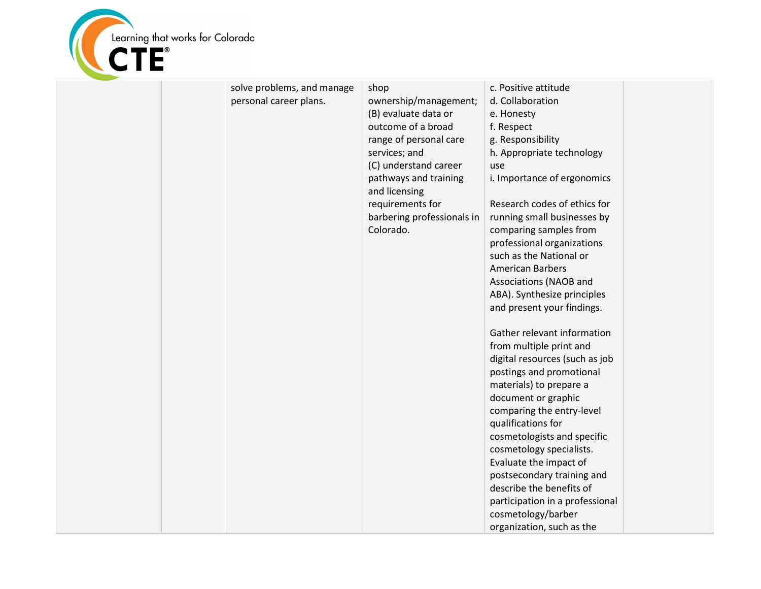

|  | solve problems, and manage | shop                                   | c. Positive attitude            |  |
|--|----------------------------|----------------------------------------|---------------------------------|--|
|  | personal career plans.     | ownership/management;                  | d. Collaboration                |  |
|  |                            | (B) evaluate data or                   | e. Honesty                      |  |
|  |                            | outcome of a broad                     | f. Respect                      |  |
|  |                            | range of personal care                 | g. Responsibility               |  |
|  |                            | services; and                          | h. Appropriate technology       |  |
|  |                            | (C) understand career                  | use                             |  |
|  |                            | pathways and training<br>and licensing | i. Importance of ergonomics     |  |
|  |                            | requirements for                       | Research codes of ethics for    |  |
|  |                            | barbering professionals in             | running small businesses by     |  |
|  |                            | Colorado.                              | comparing samples from          |  |
|  |                            |                                        | professional organizations      |  |
|  |                            |                                        | such as the National or         |  |
|  |                            |                                        | <b>American Barbers</b>         |  |
|  |                            |                                        | Associations (NAOB and          |  |
|  |                            |                                        | ABA). Synthesize principles     |  |
|  |                            |                                        | and present your findings.      |  |
|  |                            |                                        |                                 |  |
|  |                            |                                        | Gather relevant information     |  |
|  |                            |                                        | from multiple print and         |  |
|  |                            |                                        | digital resources (such as job  |  |
|  |                            |                                        | postings and promotional        |  |
|  |                            |                                        | materials) to prepare a         |  |
|  |                            |                                        | document or graphic             |  |
|  |                            |                                        | comparing the entry-level       |  |
|  |                            |                                        | qualifications for              |  |
|  |                            |                                        | cosmetologists and specific     |  |
|  |                            |                                        | cosmetology specialists.        |  |
|  |                            |                                        | Evaluate the impact of          |  |
|  |                            |                                        | postsecondary training and      |  |
|  |                            |                                        | describe the benefits of        |  |
|  |                            |                                        | participation in a professional |  |
|  |                            |                                        | cosmetology/barber              |  |
|  |                            |                                        | organization, such as the       |  |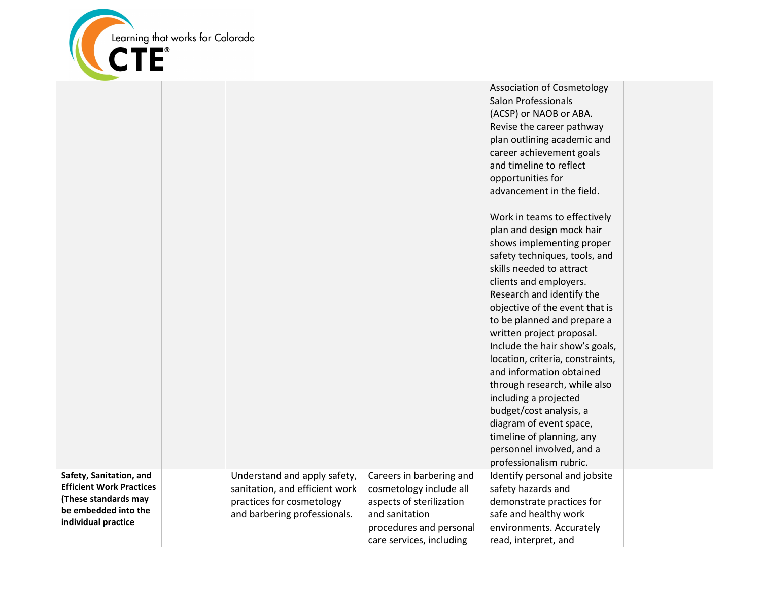

|                                              |                                |                          | <b>Association of Cosmetology</b> |  |
|----------------------------------------------|--------------------------------|--------------------------|-----------------------------------|--|
|                                              |                                |                          | <b>Salon Professionals</b>        |  |
|                                              |                                |                          | (ACSP) or NAOB or ABA.            |  |
|                                              |                                |                          | Revise the career pathway         |  |
|                                              |                                |                          | plan outlining academic and       |  |
|                                              |                                |                          | career achievement goals          |  |
|                                              |                                |                          | and timeline to reflect           |  |
|                                              |                                |                          | opportunities for                 |  |
|                                              |                                |                          | advancement in the field.         |  |
|                                              |                                |                          |                                   |  |
|                                              |                                |                          | Work in teams to effectively      |  |
|                                              |                                |                          | plan and design mock hair         |  |
|                                              |                                |                          | shows implementing proper         |  |
|                                              |                                |                          | safety techniques, tools, and     |  |
|                                              |                                |                          | skills needed to attract          |  |
|                                              |                                |                          | clients and employers.            |  |
|                                              |                                |                          | Research and identify the         |  |
|                                              |                                |                          | objective of the event that is    |  |
|                                              |                                |                          | to be planned and prepare a       |  |
|                                              |                                |                          | written project proposal.         |  |
|                                              |                                |                          | Include the hair show's goals,    |  |
|                                              |                                |                          | location, criteria, constraints,  |  |
|                                              |                                |                          | and information obtained          |  |
|                                              |                                |                          | through research, while also      |  |
|                                              |                                |                          | including a projected             |  |
|                                              |                                |                          | budget/cost analysis, a           |  |
|                                              |                                |                          | diagram of event space,           |  |
|                                              |                                |                          | timeline of planning, any         |  |
|                                              |                                |                          | personnel involved, and a         |  |
|                                              |                                |                          | professionalism rubric.           |  |
| Safety, Sanitation, and                      | Understand and apply safety,   | Careers in barbering and | Identify personal and jobsite     |  |
| <b>Efficient Work Practices</b>              | sanitation, and efficient work | cosmetology include all  | safety hazards and                |  |
| (These standards may<br>be embedded into the | practices for cosmetology      | aspects of sterilization | demonstrate practices for         |  |
| individual practice                          | and barbering professionals.   | and sanitation           | safe and healthy work             |  |
|                                              |                                | procedures and personal  | environments. Accurately          |  |
|                                              |                                | care services, including | read, interpret, and              |  |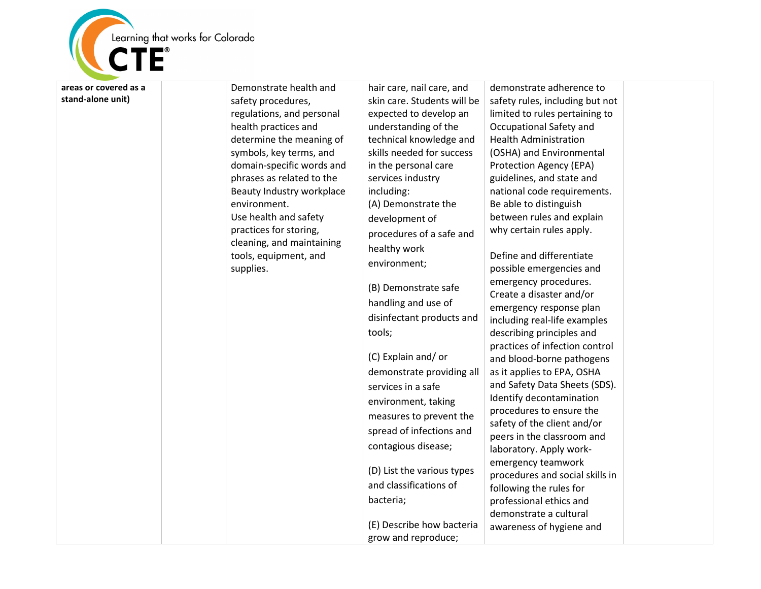

**areas or covered as a stand -alone unit)**

Demonstrate health and safety procedures, regulations, and personal health practices and determine the meaning of symbols, key terms, and domain -specific words and phrases as related to the Beauty Industry workplace environment. Use health and safety practices for storing, cleaning, and maintaining tools, equipment, and supplies.

hair care, nail care, and skin care. Students will be expected to develop an understanding of the technical knowledge and skills needed for success in the personal care services industry including: (A) Demonstrate the development of procedures of a safe and healthy work environment ;

(B) Demonstrate safe handling and use of disinfectant products and tools;

(C) Explain and/ or demonstrate providing all services in a safe environment, taking measures to prevent the spread of infections and contagious disease ;

(D) List the various types and classifications of bacteria;

(E) Describe how bacteria grow and reproduce;

demonstrate adherence to safety rules, including but not limited to rules pertaining to Occupational Safety and Health Administration (OSHA) and Environmental Protection Agency (EPA) guidelines, and state and national code requirements. Be able to distinguish between rules and explain why certain rules apply.

Define and differentiate possible emergencies and emergency procedures. Create a disaster and/or emergency response plan including real -life examples describing principles and practices of infection control and blood -borne pathogens as it applies to EPA, OSHA and Safety Data Sheets (SDS). Identify decontamination procedures to ensure the safety of the client and/or peers in the classroom and laboratory. Apply work emergency teamwork procedures and social skills in following the rules for professional ethics and demonstrate a cultural awareness of hygiene and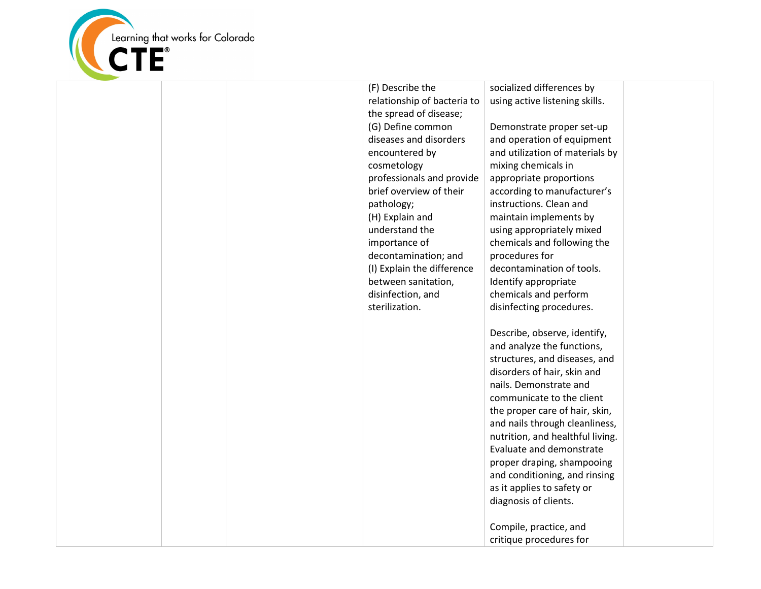

| (F) Describe the<br>relationship of bacteria to<br>the spread of disease;<br>(G) Define common<br>diseases and disorders<br>encountered by<br>cosmetology<br>professionals and provide<br>brief overview of their<br>pathology;<br>(H) Explain and<br>understand the<br>importance of<br>decontamination; and<br>(I) Explain the difference<br>between sanitation,<br>disinfection, and<br>sterilization. | socialized differences by<br>using active listening skills.<br>Demonstrate proper set-up<br>and operation of equipment<br>and utilization of materials by<br>mixing chemicals in<br>appropriate proportions<br>according to manufacturer's<br>instructions. Clean and<br>maintain implements by<br>using appropriately mixed<br>chemicals and following the<br>procedures for<br>decontamination of tools.<br>Identify appropriate<br>chemicals and perform<br>disinfecting procedures.<br>Describe, observe, identify,<br>and analyze the functions,<br>structures, and diseases, and<br>disorders of hair, skin and<br>nails. Demonstrate and<br>communicate to the client<br>the proper care of hair, skin, |  |
|-----------------------------------------------------------------------------------------------------------------------------------------------------------------------------------------------------------------------------------------------------------------------------------------------------------------------------------------------------------------------------------------------------------|----------------------------------------------------------------------------------------------------------------------------------------------------------------------------------------------------------------------------------------------------------------------------------------------------------------------------------------------------------------------------------------------------------------------------------------------------------------------------------------------------------------------------------------------------------------------------------------------------------------------------------------------------------------------------------------------------------------|--|
|                                                                                                                                                                                                                                                                                                                                                                                                           | and nails through cleanliness,<br>nutrition, and healthful living.<br>Evaluate and demonstrate<br>proper draping, shampooing<br>and conditioning, and rinsing<br>as it applies to safety or<br>diagnosis of clients.                                                                                                                                                                                                                                                                                                                                                                                                                                                                                           |  |
|                                                                                                                                                                                                                                                                                                                                                                                                           | Compile, practice, and<br>critique procedures for                                                                                                                                                                                                                                                                                                                                                                                                                                                                                                                                                                                                                                                              |  |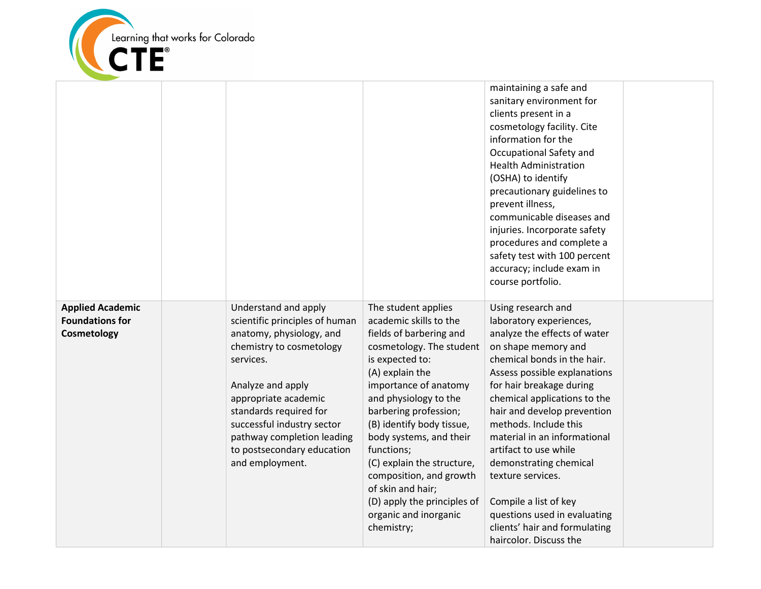

|                                                                  |                                                                                                                                                                                                                                                                                                                 |                                                                                                                                                                                                                                                                                                                                                                                                                                                 | maintaining a safe and<br>sanitary environment for<br>clients present in a<br>cosmetology facility. Cite<br>information for the<br>Occupational Safety and<br><b>Health Administration</b><br>(OSHA) to identify<br>precautionary guidelines to<br>prevent illness,<br>communicable diseases and<br>injuries. Incorporate safety<br>procedures and complete a<br>safety test with 100 percent<br>accuracy; include exam in                                                                                          |  |
|------------------------------------------------------------------|-----------------------------------------------------------------------------------------------------------------------------------------------------------------------------------------------------------------------------------------------------------------------------------------------------------------|-------------------------------------------------------------------------------------------------------------------------------------------------------------------------------------------------------------------------------------------------------------------------------------------------------------------------------------------------------------------------------------------------------------------------------------------------|---------------------------------------------------------------------------------------------------------------------------------------------------------------------------------------------------------------------------------------------------------------------------------------------------------------------------------------------------------------------------------------------------------------------------------------------------------------------------------------------------------------------|--|
|                                                                  |                                                                                                                                                                                                                                                                                                                 |                                                                                                                                                                                                                                                                                                                                                                                                                                                 | course portfolio.                                                                                                                                                                                                                                                                                                                                                                                                                                                                                                   |  |
| <b>Applied Academic</b><br><b>Foundations for</b><br>Cosmetology | Understand and apply<br>scientific principles of human<br>anatomy, physiology, and<br>chemistry to cosmetology<br>services.<br>Analyze and apply<br>appropriate academic<br>standards required for<br>successful industry sector<br>pathway completion leading<br>to postsecondary education<br>and employment. | The student applies<br>academic skills to the<br>fields of barbering and<br>cosmetology. The student<br>is expected to:<br>(A) explain the<br>importance of anatomy<br>and physiology to the<br>barbering profession;<br>(B) identify body tissue,<br>body systems, and their<br>functions;<br>(C) explain the structure,<br>composition, and growth<br>of skin and hair;<br>(D) apply the principles of<br>organic and inorganic<br>chemistry; | Using research and<br>laboratory experiences,<br>analyze the effects of water<br>on shape memory and<br>chemical bonds in the hair.<br>Assess possible explanations<br>for hair breakage during<br>chemical applications to the<br>hair and develop prevention<br>methods. Include this<br>material in an informational<br>artifact to use while<br>demonstrating chemical<br>texture services.<br>Compile a list of key<br>questions used in evaluating<br>clients' hair and formulating<br>haircolor. Discuss the |  |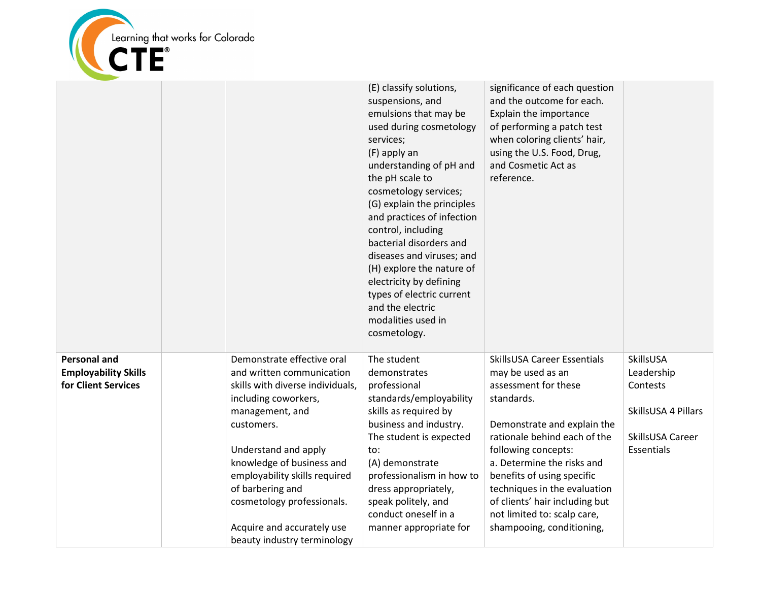

|                                                                           |                                                                                                                                                                                                                                                                                                                                                           | (E) classify solutions,<br>suspensions, and<br>emulsions that may be<br>used during cosmetology<br>services;<br>(F) apply an<br>understanding of pH and<br>the pH scale to<br>cosmetology services;<br>(G) explain the principles<br>and practices of infection<br>control, including<br>bacterial disorders and<br>diseases and viruses; and<br>(H) explore the nature of<br>electricity by defining<br>types of electric current<br>and the electric<br>modalities used in<br>cosmetology. | significance of each question<br>and the outcome for each.<br>Explain the importance<br>of performing a patch test<br>when coloring clients' hair,<br>using the U.S. Food, Drug,<br>and Cosmetic Act as<br>reference.                                                                                                                                                  |                                                                                              |
|---------------------------------------------------------------------------|-----------------------------------------------------------------------------------------------------------------------------------------------------------------------------------------------------------------------------------------------------------------------------------------------------------------------------------------------------------|----------------------------------------------------------------------------------------------------------------------------------------------------------------------------------------------------------------------------------------------------------------------------------------------------------------------------------------------------------------------------------------------------------------------------------------------------------------------------------------------|------------------------------------------------------------------------------------------------------------------------------------------------------------------------------------------------------------------------------------------------------------------------------------------------------------------------------------------------------------------------|----------------------------------------------------------------------------------------------|
| <b>Personal and</b><br><b>Employability Skills</b><br>for Client Services | Demonstrate effective oral<br>and written communication<br>skills with diverse individuals,<br>including coworkers,<br>management, and<br>customers.<br>Understand and apply<br>knowledge of business and<br>employability skills required<br>of barbering and<br>cosmetology professionals.<br>Acquire and accurately use<br>beauty industry terminology | The student<br>demonstrates<br>professional<br>standards/employability<br>skills as required by<br>business and industry.<br>The student is expected<br>to:<br>(A) demonstrate<br>professionalism in how to<br>dress appropriately,<br>speak politely, and<br>conduct oneself in a<br>manner appropriate for                                                                                                                                                                                 | SkillsUSA Career Essentials<br>may be used as an<br>assessment for these<br>standards.<br>Demonstrate and explain the<br>rationale behind each of the<br>following concepts:<br>a. Determine the risks and<br>benefits of using specific<br>techniques in the evaluation<br>of clients' hair including but<br>not limited to: scalp care,<br>shampooing, conditioning, | SkillsUSA<br>Leadership<br>Contests<br>SkillsUSA 4 Pillars<br>SkillsUSA Career<br>Essentials |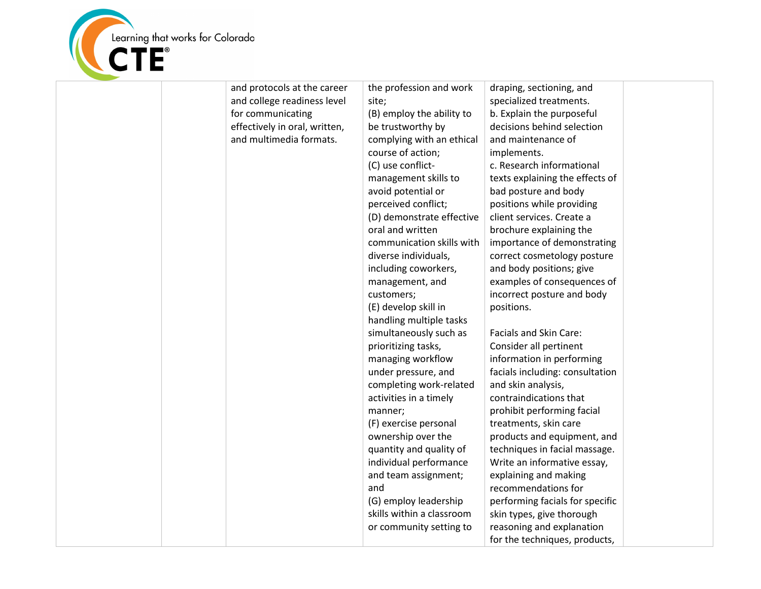

| and protocols at the career   | the profession and work   | draping, sectioning, and        |  |
|-------------------------------|---------------------------|---------------------------------|--|
| and college readiness level   | site;                     | specialized treatments.         |  |
| for communicating             | (B) employ the ability to | b. Explain the purposeful       |  |
| effectively in oral, written, | be trustworthy by         | decisions behind selection      |  |
| and multimedia formats.       | complying with an ethical | and maintenance of              |  |
|                               | course of action;         | implements.                     |  |
|                               | (C) use conflict-         | c. Research informational       |  |
|                               | management skills to      | texts explaining the effects of |  |
|                               | avoid potential or        | bad posture and body            |  |
|                               | perceived conflict;       | positions while providing       |  |
|                               | (D) demonstrate effective | client services. Create a       |  |
|                               | oral and written          | brochure explaining the         |  |
|                               | communication skills with | importance of demonstrating     |  |
|                               | diverse individuals,      | correct cosmetology posture     |  |
|                               | including coworkers,      | and body positions; give        |  |
|                               | management, and           | examples of consequences of     |  |
|                               | customers;                | incorrect posture and body      |  |
|                               | (E) develop skill in      | positions.                      |  |
|                               | handling multiple tasks   |                                 |  |
|                               | simultaneously such as    | Facials and Skin Care:          |  |
|                               | prioritizing tasks,       | Consider all pertinent          |  |
|                               | managing workflow         | information in performing       |  |
|                               | under pressure, and       | facials including: consultation |  |
|                               | completing work-related   | and skin analysis,              |  |
|                               | activities in a timely    | contraindications that          |  |
|                               | manner;                   | prohibit performing facial      |  |
|                               | (F) exercise personal     | treatments, skin care           |  |
|                               | ownership over the        | products and equipment, and     |  |
|                               | quantity and quality of   | techniques in facial massage.   |  |
|                               | individual performance    | Write an informative essay,     |  |
|                               | and team assignment;      | explaining and making           |  |
|                               | and                       | recommendations for             |  |
|                               | (G) employ leadership     | performing facials for specific |  |
|                               | skills within a classroom | skin types, give thorough       |  |
|                               | or community setting to   | reasoning and explanation       |  |
|                               |                           | for the techniques, products,   |  |
|                               |                           |                                 |  |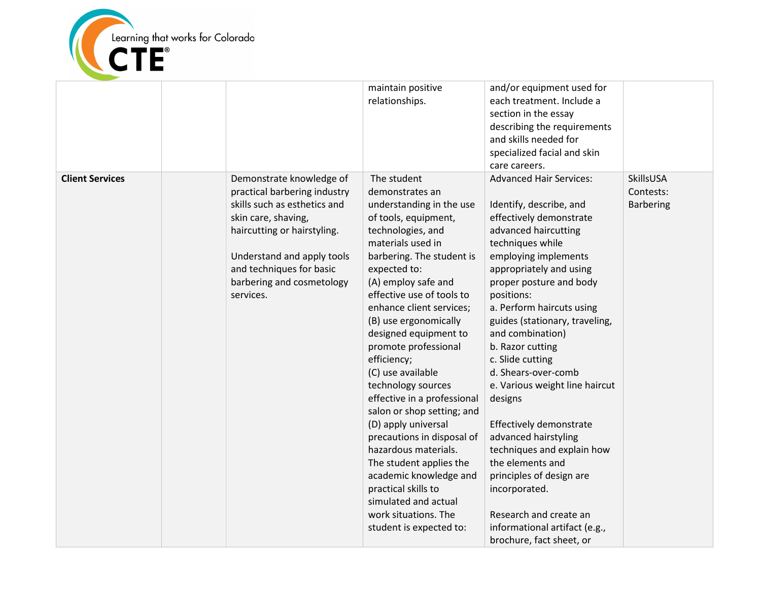

|                        |                                                                                                                                                                                                                                                    | maintain positive<br>relationships.                                                                                                                                                                                                                                                                                                                                                                                                                                                                                                                                                                                                                                                            | and/or equipment used for<br>each treatment. Include a<br>section in the essay<br>describing the requirements<br>and skills needed for<br>specialized facial and skin<br>care careers.                                                                                                                                                                                                                                                                                                                                                                                                                                                                               |                                            |
|------------------------|----------------------------------------------------------------------------------------------------------------------------------------------------------------------------------------------------------------------------------------------------|------------------------------------------------------------------------------------------------------------------------------------------------------------------------------------------------------------------------------------------------------------------------------------------------------------------------------------------------------------------------------------------------------------------------------------------------------------------------------------------------------------------------------------------------------------------------------------------------------------------------------------------------------------------------------------------------|----------------------------------------------------------------------------------------------------------------------------------------------------------------------------------------------------------------------------------------------------------------------------------------------------------------------------------------------------------------------------------------------------------------------------------------------------------------------------------------------------------------------------------------------------------------------------------------------------------------------------------------------------------------------|--------------------------------------------|
| <b>Client Services</b> | Demonstrate knowledge of<br>practical barbering industry<br>skills such as esthetics and<br>skin care, shaving,<br>haircutting or hairstyling.<br>Understand and apply tools<br>and techniques for basic<br>barbering and cosmetology<br>services. | The student<br>demonstrates an<br>understanding in the use<br>of tools, equipment,<br>technologies, and<br>materials used in<br>barbering. The student is<br>expected to:<br>(A) employ safe and<br>effective use of tools to<br>enhance client services;<br>(B) use ergonomically<br>designed equipment to<br>promote professional<br>efficiency;<br>(C) use available<br>technology sources<br>effective in a professional<br>salon or shop setting; and<br>(D) apply universal<br>precautions in disposal of<br>hazardous materials.<br>The student applies the<br>academic knowledge and<br>practical skills to<br>simulated and actual<br>work situations. The<br>student is expected to: | <b>Advanced Hair Services:</b><br>Identify, describe, and<br>effectively demonstrate<br>advanced haircutting<br>techniques while<br>employing implements<br>appropriately and using<br>proper posture and body<br>positions:<br>a. Perform haircuts using<br>guides (stationary, traveling,<br>and combination)<br>b. Razor cutting<br>c. Slide cutting<br>d. Shears-over-comb<br>e. Various weight line haircut<br>designs<br>Effectively demonstrate<br>advanced hairstyling<br>techniques and explain how<br>the elements and<br>principles of design are<br>incorporated.<br>Research and create an<br>informational artifact (e.g.,<br>brochure, fact sheet, or | SkillsUSA<br>Contests:<br><b>Barbering</b> |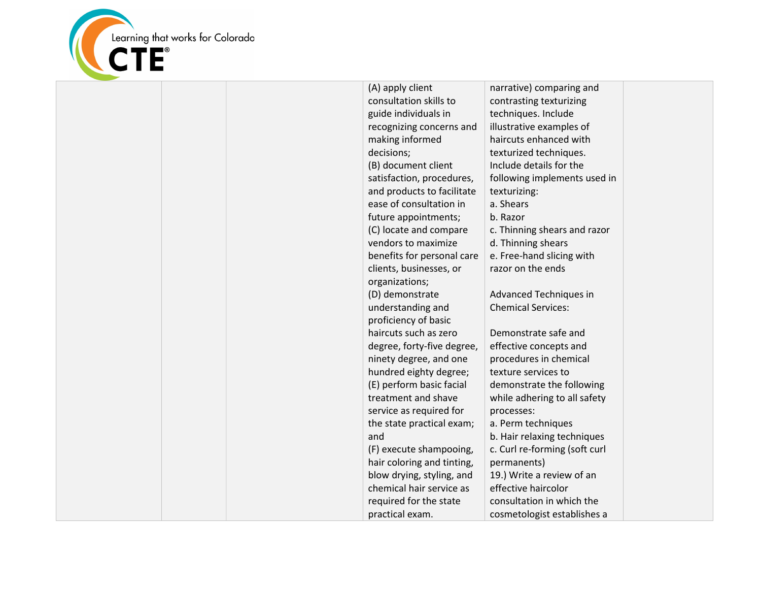

|  | (A) apply client           | narrative) comparing and      |  |
|--|----------------------------|-------------------------------|--|
|  | consultation skills to     | contrasting texturizing       |  |
|  | guide individuals in       | techniques. Include           |  |
|  | recognizing concerns and   | illustrative examples of      |  |
|  | making informed            | haircuts enhanced with        |  |
|  | decisions;                 | texturized techniques.        |  |
|  | (B) document client        | Include details for the       |  |
|  | satisfaction, procedures,  | following implements used in  |  |
|  | and products to facilitate | texturizing:                  |  |
|  | ease of consultation in    | a. Shears                     |  |
|  | future appointments;       | b. Razor                      |  |
|  | (C) locate and compare     | c. Thinning shears and razor  |  |
|  | vendors to maximize        | d. Thinning shears            |  |
|  | benefits for personal care | e. Free-hand slicing with     |  |
|  | clients, businesses, or    | razor on the ends             |  |
|  | organizations;             |                               |  |
|  | (D) demonstrate            | Advanced Techniques in        |  |
|  | understanding and          | <b>Chemical Services:</b>     |  |
|  | proficiency of basic       |                               |  |
|  | haircuts such as zero      | Demonstrate safe and          |  |
|  | degree, forty-five degree, | effective concepts and        |  |
|  | ninety degree, and one     | procedures in chemical        |  |
|  | hundred eighty degree;     | texture services to           |  |
|  | (E) perform basic facial   | demonstrate the following     |  |
|  | treatment and shave        | while adhering to all safety  |  |
|  | service as required for    | processes:                    |  |
|  | the state practical exam;  | a. Perm techniques            |  |
|  | and                        | b. Hair relaxing techniques   |  |
|  | (F) execute shampooing,    | c. Curl re-forming (soft curl |  |
|  | hair coloring and tinting, | permanents)                   |  |
|  | blow drying, styling, and  | 19.) Write a review of an     |  |
|  | chemical hair service as   | effective haircolor           |  |
|  | required for the state     | consultation in which the     |  |
|  | practical exam.            | cosmetologist establishes a   |  |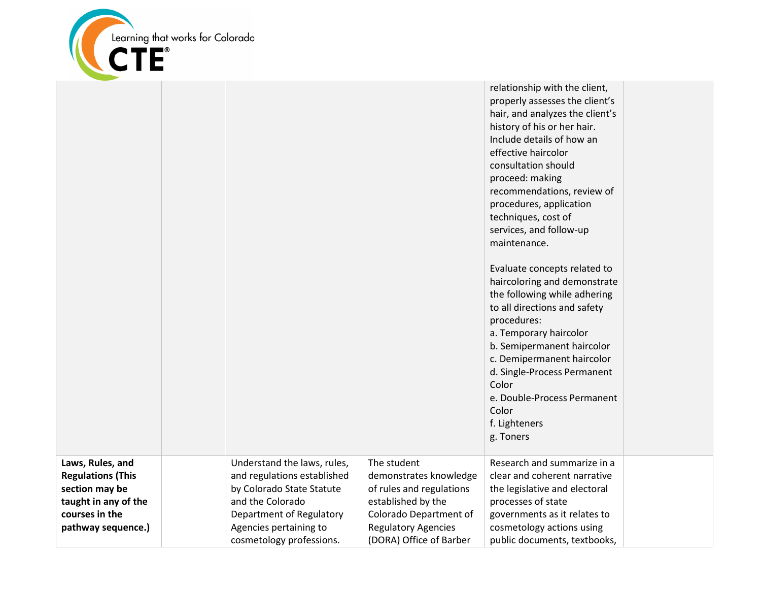

|                                                                                                          |                                                                                                                                         |                                                                                                                   | relationship with the client,<br>properly assesses the client's<br>hair, and analyzes the client's<br>history of his or her hair.<br>Include details of how an<br>effective haircolor<br>consultation should<br>proceed: making<br>recommendations, review of<br>procedures, application<br>techniques, cost of<br>services, and follow-up<br>maintenance.<br>Evaluate concepts related to<br>haircoloring and demonstrate<br>the following while adhering<br>to all directions and safety<br>procedures:<br>a. Temporary haircolor<br>b. Semipermanent haircolor<br>c. Demipermanent haircolor<br>d. Single-Process Permanent<br>Color<br>e. Double-Process Permanent<br>Color<br>f. Lighteners<br>g. Toners |  |
|----------------------------------------------------------------------------------------------------------|-----------------------------------------------------------------------------------------------------------------------------------------|-------------------------------------------------------------------------------------------------------------------|---------------------------------------------------------------------------------------------------------------------------------------------------------------------------------------------------------------------------------------------------------------------------------------------------------------------------------------------------------------------------------------------------------------------------------------------------------------------------------------------------------------------------------------------------------------------------------------------------------------------------------------------------------------------------------------------------------------|--|
| Laws, Rules, and<br><b>Regulations (This</b><br>section may be<br>taught in any of the<br>courses in the | Understand the laws, rules,<br>and regulations established<br>by Colorado State Statute<br>and the Colorado<br>Department of Regulatory | The student<br>demonstrates knowledge<br>of rules and regulations<br>established by the<br>Colorado Department of | Research and summarize in a<br>clear and coherent narrative<br>the legislative and electoral<br>processes of state<br>governments as it relates to                                                                                                                                                                                                                                                                                                                                                                                                                                                                                                                                                            |  |
| pathway sequence.)                                                                                       | Agencies pertaining to<br>cosmetology professions.                                                                                      | <b>Regulatory Agencies</b><br>(DORA) Office of Barber                                                             | cosmetology actions using<br>public documents, textbooks,                                                                                                                                                                                                                                                                                                                                                                                                                                                                                                                                                                                                                                                     |  |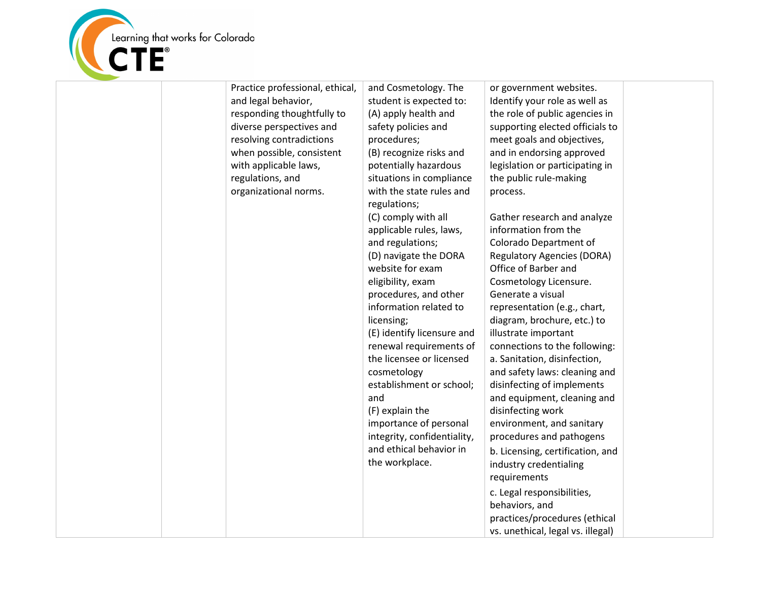

| Practice professional, ethical,<br>and legal behavior,<br>responding thoughtfully to<br>diverse perspectives and<br>resolving contradictions<br>when possible, consistent<br>with applicable laws,<br>regulations, and<br>organizational norms. | and Cosmetology. The<br>student is expected to:<br>(A) apply health and<br>safety policies and<br>procedures;<br>(B) recognize risks and<br>potentially hazardous<br>situations in compliance<br>with the state rules and<br>regulations;<br>(C) comply with all<br>applicable rules, laws,<br>and regulations;<br>(D) navigate the DORA<br>website for exam<br>eligibility, exam<br>procedures, and other<br>information related to<br>licensing;<br>(E) identify licensure and<br>renewal requirements of<br>the licensee or licensed<br>cosmetology<br>establishment or school;<br>and<br>(F) explain the<br>importance of personal<br>integrity, confidentiality,<br>and ethical behavior in<br>the workplace. | or government websites.<br>Identify your role as well as<br>the role of public agencies in<br>supporting elected officials to<br>meet goals and objectives,<br>and in endorsing approved<br>legislation or participating in<br>the public rule-making<br>process.<br>Gather research and analyze<br>information from the<br>Colorado Department of<br><b>Regulatory Agencies (DORA)</b><br>Office of Barber and<br>Cosmetology Licensure.<br>Generate a visual<br>representation (e.g., chart,<br>diagram, brochure, etc.) to<br>illustrate important<br>connections to the following:<br>a. Sanitation, disinfection,<br>and safety laws: cleaning and<br>disinfecting of implements<br>and equipment, cleaning and<br>disinfecting work<br>environment, and sanitary<br>procedures and pathogens<br>b. Licensing, certification, and<br>industry credentialing<br>requirements<br>c. Legal responsibilities, |  |
|-------------------------------------------------------------------------------------------------------------------------------------------------------------------------------------------------------------------------------------------------|--------------------------------------------------------------------------------------------------------------------------------------------------------------------------------------------------------------------------------------------------------------------------------------------------------------------------------------------------------------------------------------------------------------------------------------------------------------------------------------------------------------------------------------------------------------------------------------------------------------------------------------------------------------------------------------------------------------------|----------------------------------------------------------------------------------------------------------------------------------------------------------------------------------------------------------------------------------------------------------------------------------------------------------------------------------------------------------------------------------------------------------------------------------------------------------------------------------------------------------------------------------------------------------------------------------------------------------------------------------------------------------------------------------------------------------------------------------------------------------------------------------------------------------------------------------------------------------------------------------------------------------------|--|
|                                                                                                                                                                                                                                                 |                                                                                                                                                                                                                                                                                                                                                                                                                                                                                                                                                                                                                                                                                                                    | behaviors, and<br>practices/procedures (ethical<br>vs. unethical, legal vs. illegal)                                                                                                                                                                                                                                                                                                                                                                                                                                                                                                                                                                                                                                                                                                                                                                                                                           |  |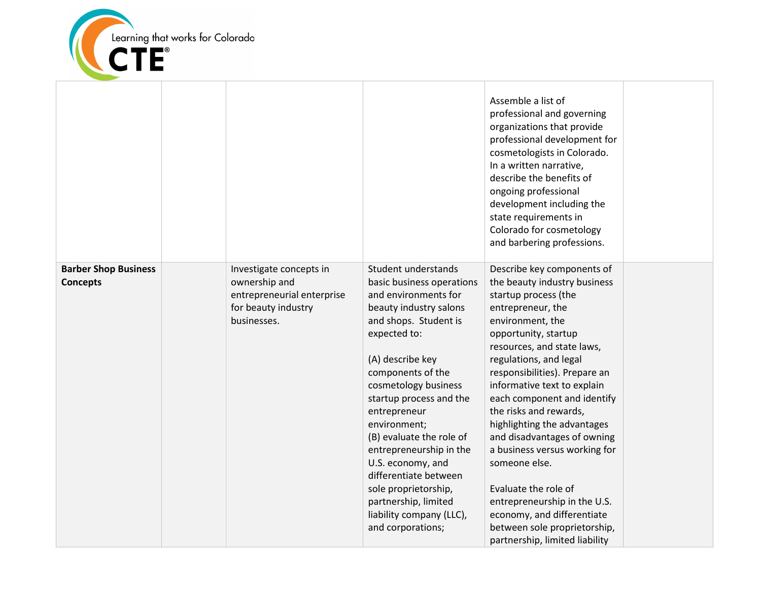

|                                                |                                                                                                              |                                                                                                                                                                                                                                                                                                                                                                                                                                                                               | Assemble a list of<br>professional and governing<br>organizations that provide<br>professional development for<br>cosmetologists in Colorado.<br>In a written narrative,<br>describe the benefits of<br>ongoing professional<br>development including the<br>state requirements in<br>Colorado for cosmetology<br>and barbering professions.                                                                                                                                                                                                                                                                 |  |
|------------------------------------------------|--------------------------------------------------------------------------------------------------------------|-------------------------------------------------------------------------------------------------------------------------------------------------------------------------------------------------------------------------------------------------------------------------------------------------------------------------------------------------------------------------------------------------------------------------------------------------------------------------------|--------------------------------------------------------------------------------------------------------------------------------------------------------------------------------------------------------------------------------------------------------------------------------------------------------------------------------------------------------------------------------------------------------------------------------------------------------------------------------------------------------------------------------------------------------------------------------------------------------------|--|
| <b>Barber Shop Business</b><br><b>Concepts</b> | Investigate concepts in<br>ownership and<br>entrepreneurial enterprise<br>for beauty industry<br>businesses. | Student understands<br>basic business operations<br>and environments for<br>beauty industry salons<br>and shops. Student is<br>expected to:<br>(A) describe key<br>components of the<br>cosmetology business<br>startup process and the<br>entrepreneur<br>environment;<br>(B) evaluate the role of<br>entrepreneurship in the<br>U.S. economy, and<br>differentiate between<br>sole proprietorship,<br>partnership, limited<br>liability company (LLC),<br>and corporations; | Describe key components of<br>the beauty industry business<br>startup process (the<br>entrepreneur, the<br>environment, the<br>opportunity, startup<br>resources, and state laws,<br>regulations, and legal<br>responsibilities). Prepare an<br>informative text to explain<br>each component and identify<br>the risks and rewards,<br>highlighting the advantages<br>and disadvantages of owning<br>a business versus working for<br>someone else.<br>Evaluate the role of<br>entrepreneurship in the U.S.<br>economy, and differentiate<br>between sole proprietorship,<br>partnership, limited liability |  |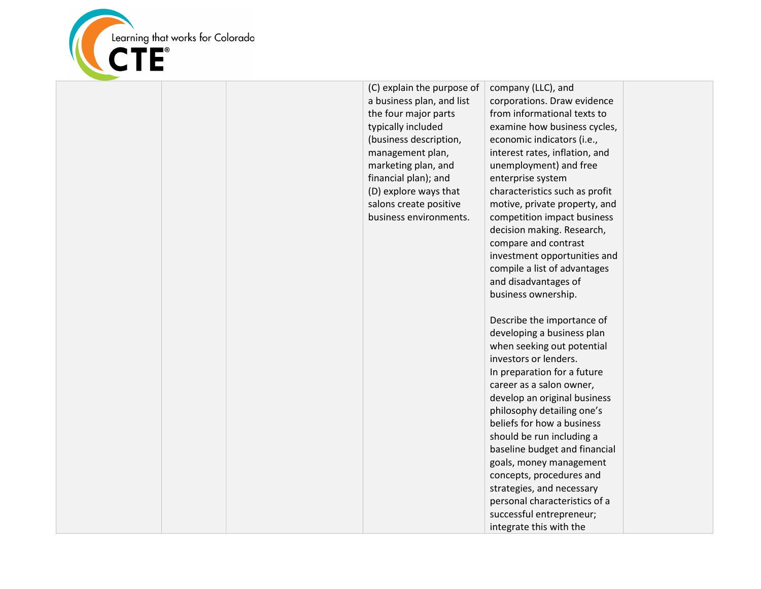

|  | (C) explain the purpose of<br>a business plan, and list<br>the four major parts<br>typically included<br>(business description,<br>management plan,<br>marketing plan, and<br>financial plan); and<br>(D) explore ways that<br>salons create positive<br>business environments. | company (LLC), and<br>corporations. Draw evidence<br>from informational texts to<br>examine how business cycles,<br>economic indicators (i.e.,<br>interest rates, inflation, and<br>unemployment) and free<br>enterprise system<br>characteristics such as profit<br>motive, private property, and<br>competition impact business<br>decision making. Research,<br>compare and contrast<br>investment opportunities and<br>compile a list of advantages<br>and disadvantages of<br>business ownership. |  |
|--|---------------------------------------------------------------------------------------------------------------------------------------------------------------------------------------------------------------------------------------------------------------------------------|--------------------------------------------------------------------------------------------------------------------------------------------------------------------------------------------------------------------------------------------------------------------------------------------------------------------------------------------------------------------------------------------------------------------------------------------------------------------------------------------------------|--|
|  |                                                                                                                                                                                                                                                                                 | Describe the importance of<br>developing a business plan<br>when seeking out potential<br>investors or lenders.<br>In preparation for a future<br>career as a salon owner,<br>develop an original business<br>philosophy detailing one's<br>beliefs for how a business<br>should be run including a<br>baseline budget and financial                                                                                                                                                                   |  |
|  |                                                                                                                                                                                                                                                                                 | goals, money management<br>concepts, procedures and<br>strategies, and necessary<br>personal characteristics of a<br>successful entrepreneur;<br>integrate this with the                                                                                                                                                                                                                                                                                                                               |  |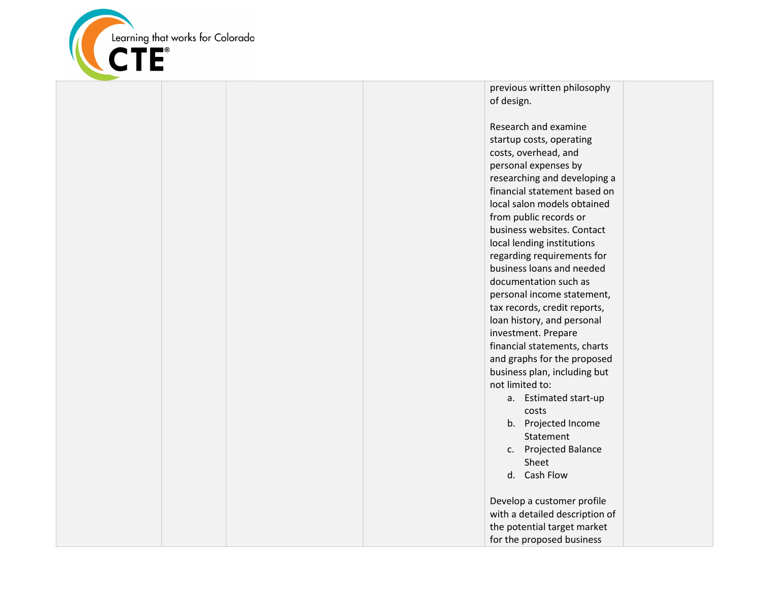

previous written philosophy of design.

Research and examine startup costs, operating costs, overhead, and personal expenses by researching and developing a financial statement based on local salon models obtained from public records or business websites. Contact local lending institutions regarding requirements for business loans and needed documentation such as personal income statement, tax records, credit reports, loan history, and personal investment. Prepare financial statements, charts and graphs for the proposed business plan, including but not limited to:

- a. Estimated start-up costs
- b. Projected Income Statement
- c. Projected Balance Sheet
- d. Cash Flow

Develop a customer profile with a detailed description of the potential target market for the proposed business